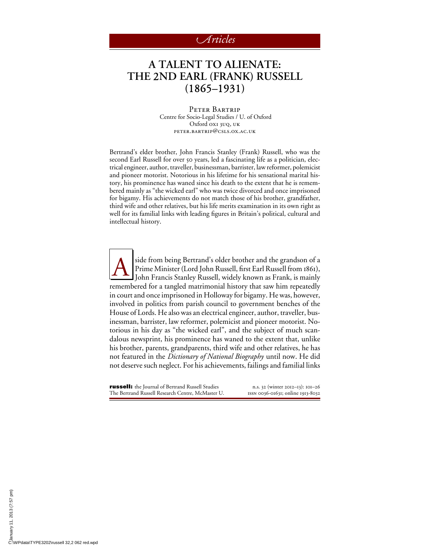## *rticles*

## **A TALENT TO ALIENATE: THE** 2**ND EARL (FRANK) RUSSELL (**1865**–**1931**)**

Peter Bartrip Centre for Socio-Legal Studies / U. of Oxford Oxford OXI 3UQ, UK peter.bartrip@csls.ox.ac.uk

Bertrand's elder brother, John Francis Stanley (Frank) Russell, who was the second Earl Russell for over 50 years, led a fascinating life as a politician, electrical engineer, author, traveller, businessman, barrister, law reformer, polemicist and pioneer motorist. Notorious in his lifetime for his sensational marital history, his prominence has waned since his death to the extent that he is remembered mainly as "the wicked earl" who was twice divorced and once imprisoned for bigamy. His achievements do not match those of his brother, grandfather, third wife and other relatives, but his life merits examination in its own right as well for its familial links with leading figures in Britain's political, cultural and intellectual history.

A side from being Bertrand's older brother and the grandson of a<br>Prime Minister (Lord John Russell, first Earl Russell from 1861),<br>John Francis Stanley Russell, widely known as Frank, is mainly Prime Minister (Lord John Russell, first Earl Russell from 1861), John Francis Stanley Russell, widely known as Frank, is mainly remembered for a tangled matrimonial history that saw him repeatedly in court and once imprisoned in Holloway for bigamy. He was, however, involved in politics from parish council to government benches of the House of Lords. He also was an electrical engineer, author, traveller, businessman, barrister, law reformer, polemicist and pioneer motorist. Notorious in his day as "the wicked earl", and the subject of much scandalous newsprint, his prominence has waned to the extent that, unlike his brother, parents, grandparents, third wife and other relatives, he has not featured in the *Dictionary of National Biography* until now. He did not deserve such neglect. For his achievements, failings and familial links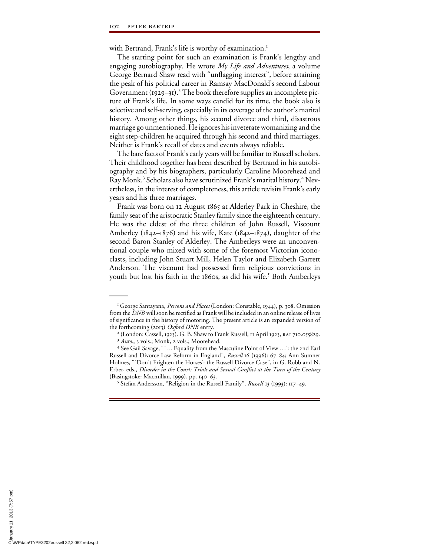with Bertrand, Frank's life is worthy of examination.<sup>1</sup>

The starting point for such an examination is Frank's lengthy and engaging autobiography. He wrote *My Life and Adventures*, a volume George Bernard Shaw read with "unflagging interest", before attaining the peak of his political career in Ramsay MacDonald's second Labour Government (1929–31).<sup>2</sup> The book therefore supplies an incomplete picture of Frank's life. In some ways candid for its time, the book also is selective and self-serving, especially in its coverage of the author's marital history. Among other things, his second divorce and third, disastrous marriage go unmentioned. He ignores his inveterate womanizing and the eight step-children he acquired through his second and third marriages. Neither is Frank's recall of dates and events always reliable.

The bare facts of Frank's early years will be familiar to Russell scholars. Their childhood together has been described by Bertrand in his autobiography and by his biographers, particularly Caroline Moorehead and Ray Monk.<sup>3</sup> Scholars also have scrutinized Frank's marital history.<sup>4</sup> Nevertheless, in the interest of completeness, this article revisits Frank's early years and his three marriages.

Frank was born on 12 August 1865 at Alderley Park in Cheshire, the family seat of the aristocratic Stanley family since the eighteenth century. He was the eldest of the three children of John Russell, Viscount Amberley (1842–1876) and his wife, Kate (1842–1874), daughter of the second Baron Stanley of Alderley. The Amberleys were an unconventional couple who mixed with some of the foremost Victorian iconoclasts, including John Stuart Mill, Helen Taylor and Elizabeth Garrett Anderson. The viscount had possessed firm religious convictions in youth but lost his faith in the 1860s, as did his wife.<sup>5</sup> Both Amberleys

(Basingstoke: Macmillan, 1999), pp. 140–63. <sup>5</sup>

Stefan Andersson, "Religion in the Russell Family", *Russell* 13 (1993): 117–49.

<sup>&</sup>lt;sup>1</sup> George Santayana, *Persons and Places* (London: Constable, 1944), p. 308. Omission from the *DNB* will soon be rectified as Frank will be included in an online release of lives of significance in the history of motoring. The present article is an expanded version of the forthcoming (2013) *Oxford DNB* entry.

<sup>&</sup>lt;sup>2</sup> (London: Cassell, 1923). G. B. Shaw to Frank Russell, 11 April 1923, RA1 710.055829.<br><sup>3</sup> *Auto*., 3 vols.; Monk, 2 vols.; Moorehead.

See Gail Savage, " '… Equality from the Masculine Point of View …': the 2nd Earl Russell and Divorce Law Reform in England", *Russell* 16 (1996): 67–84; Ann Sumner Holmes, " 'Don't Frighten the Horses': the Russell Divorce Case", in G. Robb and N. Erber, eds., *Disorder in the Court: Trials and Sexual Conflict at the Turn of the Century*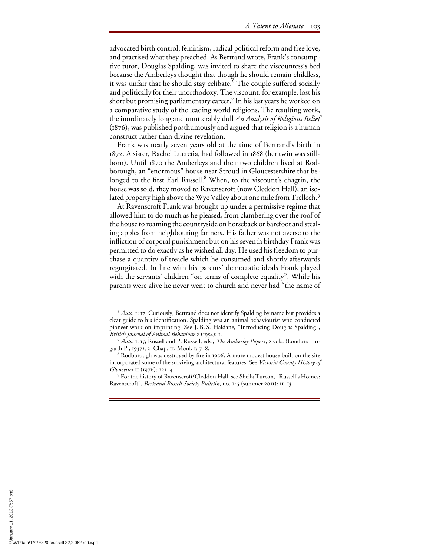advocated birth control, feminism, radical political reform and free love, and practised what they preached. As Bertrand wrote, Frank's consumptive tutor, Douglas Spalding, was invited to share the viscountess's bed because the Amberleys thought that though he should remain childless, it was unfair that he should stay celibate. <sup>6</sup> The couple suffered socially and politically for their unorthodoxy. The viscount, for example, lost his short but promising parliamentary career.<sup>7</sup> In his last years he worked on a comparative study of the leading world religions. The resulting work, the inordinately long and unutterably dull *An Analysis of Religious Belief* (1876), was published posthumously and argued that religion is a human construct rather than divine revelation.

Frank was nearly seven years old at the time of Bertrand's birth in 1872. A sister, Rachel Lucretia, had followed in 1868 (her twin was stillborn). Until 1870 the Amberleys and their two children lived at Rodborough, an "enormous" house near Stroud in Gloucestershire that belonged to the first Earl Russell.<sup>8</sup> When, to the viscount's chagrin, the house was sold, they moved to Ravenscroft (now Cleddon Hall), an isolated property high above the Wye Valley about one mile from Trellech.<sup>9</sup>

At Ravenscroft Frank was brought up under a permissive regime that allowed him to do much as he pleased, from clambering over the roof of the house to roaming the countryside on horseback or barefoot and stealing apples from neighbouring farmers. His father was not averse to the infliction of corporal punishment but on his seventh birthday Frank was permitted to do exactly as he wished all day. He used his freedom to purchase a quantity of treacle which he consumed and shortly afterwards regurgitated. In line with his parents' democratic ideals Frank played with the servants' children "on terms of complete equality". While his parents were alive he never went to church and never had "the name of

<sup>6</sup> *Auto*. 1: 17. Curiously, Bertrand does not identify Spalding by name but provides a clear guide to his identification. Spalding was an animal behaviourist who conducted pioneer work on imprinting. See J. B. S. Haldane, "Introducing Douglas Spalding", *British Journal of Animal Behaviour* 2 (1954): 1. <sup>7</sup> *Auto*. 1: 15; Russell and P. Russell, eds., *The Amberley Papers*, 2 vols. (London: Ho-

garth P., 1937), 2: Chap. 11; Monk 1: 7–8. <sup>8</sup>

<sup>&</sup>lt;sup>8</sup> Rodborough was destroyed by fire in 1906. A more modest house built on the site incorporated some of the surviving architectural features. See *Victoria County History of Gloucester* 11 (1976): 221-4.

For the history of Ravenscroft/Cleddon Hall, see Sheila Turcon, "Russell's Homes: Ravenscroft", *Bertrand Russell Society Bulletin*, no. 145 (summer 2011): 11–13.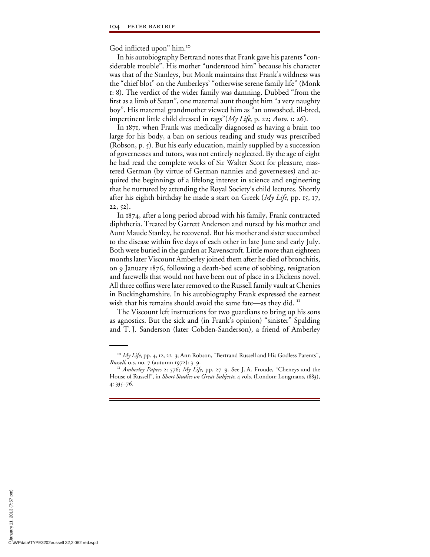God inflicted upon" him.<sup>10</sup>

In his autobiography Bertrand notes that Frank gave his parents "considerable trouble". His mother "understood him" because his character was that of the Stanleys, but Monk maintains that Frank's wildness was the "chief blot" on the Amberleys' "otherwise serene family life" (Monk 1: 8). The verdict of the wider family was damning. Dubbed "from the first as a limb of Satan", one maternal aunt thought him "a very naughty boy". His maternal grandmother viewed him as "an unwashed, ill-bred, impertinent little child dressed in rags"(*My Life*, p. 22; *Auto*. 1: 26).

In 1871, when Frank was medically diagnosed as having a brain too large for his body, a ban on serious reading and study was prescribed (Robson, p. 5). But his early education, mainly supplied by a succession of governesses and tutors, was not entirely neglected. By the age of eight he had read the complete works of Sir Walter Scott for pleasure, mastered German (by virtue of German nannies and governesses) and acquired the beginnings of a lifelong interest in science and engineering that he nurtured by attending the Royal Society's child lectures. Shortly after his eighth birthday he made a start on Greek (*My Life*, pp. 15, 17, 22, 52).

In 1874, after a long period abroad with his family, Frank contracted diphtheria. Treated by Garrett Anderson and nursed by his mother and Aunt Maude Stanley, he recovered. But his mother and sister succumbed to the disease within five days of each other in late June and early July. Both were buried in the garden at Ravenscroft. Little more than eighteen months later Viscount Amberley joined them after he died of bronchitis, on 9 January 1876, following a death-bed scene of sobbing, resignation and farewells that would not have been out of place in a Dickens novel. All three coffins were later removed to the Russell family vault at Chenies in Buckinghamshire. In his autobiography Frank expressed the earnest wish that his remains should avoid the same fate—as they did.<sup>11</sup>

The Viscount left instructions for two guardians to bring up his sons as agnostics. But the sick and (in Frank's opinion) "sinister" Spalding and T. J. Sanderson (later Cobden-Sanderson), a friend of Amberley

<sup>&</sup>lt;sup>10</sup> *My Life*, pp. 4, 12, 22–3; Ann Robson, "Bertrand Russell and His Godless Parents", *Russell*, o.s. no. 7 (autumn 1972): 3–9.

<sup>&</sup>lt;sup>*II</sup> Amberley Papers* 2: 576; *My Life*, pp. 27–9. See J. A. Froude, "Cheneys and the</sup> House of Russell", in *Short Studies on Great Subjects*, 4 vols. (London: Longmans, 1883), 4: 335–76.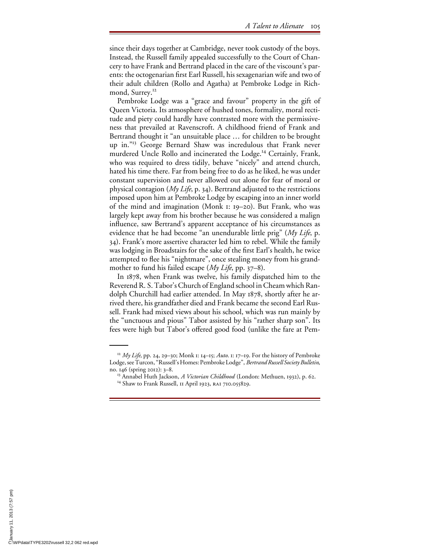since their days together at Cambridge, never took custody of the boys. Instead, the Russell family appealed successfully to the Court of Chancery to have Frank and Bertrand placed in the care of the viscount's parents: the octogenarian first Earl Russell, his sexagenarian wife and two of their adult children (Rollo and Agatha) at Pembroke Lodge in Richmond, Surrey.<sup>12</sup>

Pembroke Lodge was a "grace and favour" property in the gift of Queen Victoria. Its atmosphere of hushed tones, formality, moral rectitude and piety could hardly have contrasted more with the permissiveness that prevailed at Ravenscroft. A childhood friend of Frank and Bertrand thought it "an unsuitable place … for children to be brought up in."13 George Bernard Shaw was incredulous that Frank never murdered Uncle Rollo and incinerated the Lodge.<sup>14</sup> Certainly, Frank, who was required to dress tidily, behave "nicely" and attend church, hated his time there. Far from being free to do as he liked, he was under constant supervision and never allowed out alone for fear of moral or physical contagion (*My Life*, p. 34). Bertrand adjusted to the restrictions imposed upon him at Pembroke Lodge by escaping into an inner world of the mind and imagination (Monk 1: 19–20). But Frank, who was largely kept away from his brother because he was considered a malign influence, saw Bertrand's apparent acceptance of his circumstances as evidence that he had become "an unendurable little prig" (*My Life*, p. 34). Frank's more assertive character led him to rebel. While the family was lodging in Broadstairs for the sake of the first Earl's health, he twice attempted to flee his "nightmare", once stealing money from his grandmother to fund his failed escape (*My Life*, pp. 37–8).

In 1878, when Frank was twelve, his family dispatched him to the Reverend R. S. Tabor's Church of England school in Cheam which Randolph Churchill had earlier attended. In May 1878, shortly after he arrived there, his grandfather died and Frank became the second Earl Russell. Frank had mixed views about his school, which was run mainly by the "unctuous and pious" Tabor assisted by his "rather sharp son". Its fees were high but Tabor's offered good food (unlike the fare at Pem-

<sup>12</sup> *My Life*, pp. 24, 29–30; Monk 1: 14–15; *Auto*. 1: 17–19. For the history of Pembroke Lodge, see Turcon, "Russell's Homes: Pembroke Lodge", *Bertrand Russell Society Bulletin*,

no. 146 (spring 2012): 3–8.<br><sup>13</sup> Annabel Huth Jackson, *A Victorian Childhood* (London: Methuen, 1932), p. 62.<br><sup>14</sup> Shaw to Frank Russell, 11 April 1923, RA1 710.055829.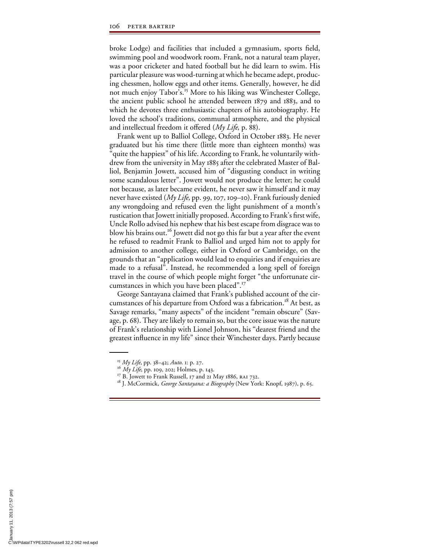broke Lodge) and facilities that included a gymnasium, sports field, swimming pool and woodwork room. Frank, not a natural team player, was a poor cricketer and hated football but he did learn to swim. His particular pleasure was wood-turning at which he became adept, producing chessmen, hollow eggs and other items. Generally, however, he did not much enjoy Tabor's.15 More to his liking was Winchester College, the ancient public school he attended between 1879 and 1883, and to which he devotes three enthusiastic chapters of his autobiography. He loved the school's traditions, communal atmosphere, and the physical and intellectual freedom it offered (*My Life*, p. 88).

Frank went up to Balliol College, Oxford in October 1883. He never graduated but his time there (little more than eighteen months) was quite the happiest" of his life. According to Frank, he voluntarily withdrew from the university in May 1885 after the celebrated Master of Balliol, Benjamin Jowett, accused him of "disgusting conduct in writing some scandalous letter". Jowett would not produce the letter; he could not because, as later became evident, he never saw it himself and it may never have existed (*My Life*, pp. 99, 107, 109–10). Frank furiously denied any wrongdoing and refused even the light punishment of a month's rustication that Jowett initially proposed. According to Frank's first wife, Uncle Rollo advised his nephew that his best escape from disgrace was to blow his brains out.<sup>16</sup> Jowett did not go this far but a year after the event he refused to readmit Frank to Balliol and urged him not to apply for admission to another college, either in Oxford or Cambridge, on the grounds that an "application would lead to enquiries and if enquiries are made to a refusal". Instead, he recommended a long spell of foreign travel in the course of which people might forget "the unfortunate circumstances in which you have been placed".17

George Santayana claimed that Frank's published account of the circumstances of his departure from Oxford was a fabrication.<sup>18</sup> At best, as Savage remarks, "many aspects" of the incident "remain obscure" (Savage, p. 68). They are likely to remain so, but the core issue was the nature of Frank's relationship with Lionel Johnson, his "dearest friend and the greatest influence in my life" since their Winchester days. Partly because

<sup>&</sup>lt;sup>15</sup> *My Life*, pp. 38–42; *Auto*. 1: p. 27.<br><sup>16</sup> *My Life*, pp. 109, 202; Holmes, p. 143.<br><sup>17</sup> B. Jowett to Frank Russell, 17 and 21 May 1886, RA1 732.<br><sup>18</sup> J. McCormick, *George Santayana: a Biography* (New York: Knopf,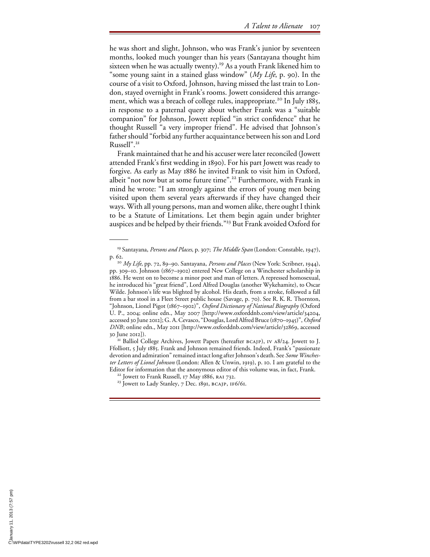he was short and slight, Johnson, who was Frank's junior by seventeen months, looked much younger than his years (Santayana thought him sixteen when he was actually twenty).<sup>19</sup> As a youth Frank likened him to "some young saint in a stained glass window" (*My Life*, p. 90). In the course of a visit to Oxford, Johnson, having missed the last train to London, stayed overnight in Frank's rooms. Jowett considered this arrangement, which was a breach of college rules, inappropriate.<sup>20</sup> In July 1885, in response to a paternal query about whether Frank was a "suitable companion" for Johnson, Jowett replied "in strict confidence" that he thought Russell "a very improper friend". He advised that Johnson's father should "forbid any further acquaintance between his son and Lord Russell".<sup>21</sup>

Frank maintained that he and his accuser were later reconciled (Jowett attended Frank's first wedding in 1890). For his part Jowett was ready to forgive. As early as May 1886 he invited Frank to visit him in Oxford, albeit "not now but at some future time".<sup>22</sup> Furthermore, with Frank in mind he wrote: "I am strongly against the errors of young men being visited upon them several years afterwards if they have changed their ways. With all young persons, man and women alike, there ought I think to be a Statute of Limitations. Let them begin again under brighter auspices and be helped by their friends."23 But Frank avoided Oxford for

<sup>19</sup> Santayana, *Persons and Places*, p. 307; *The Middle Span* (London: Constable, 1947),

p. 62. <sup>20</sup> *My Life*, pp. 72, 89–90. Santayana, *Persons and Places* (New York: Scribner, 1944), pp. 309–10. Johnson (1867–1902) entered New College on a Winchester scholarship in 1886. He went on to become a minor poet and man of letters. A repressed homosexual, he introduced his "great friend", Lord Alfred Douglas (another Wykehamite), to Oscar Wilde. Johnson's life was blighted by alcohol. His death, from a stroke, followed a fall from a bar stool in a Fleet Street public house (Savage, p. 70). See R. K. R. Thornton, "Johnson, Lionel Pigot (1867–1902)", *Oxford Dictionary of National Biography* (Oxford U. P., 2004; online edn., May 2007 [http://www.oxforddnb.com/view/article/34204, accessed 30 June 2012]; G. A. Cevasco, "Douglas, Lord Alfred Bruce (1870–1945)", *Oxford DNB*; online edn., May 2011 [http://www.oxforddnb.com/view/article/32869, accessed 30 June 2012]). 21 Balliol College Archives, Jowett Papers (hereafter bcajp), iv a8/24. Jowett to J.

Ffolliott, 5 July 1885. Frank and Johnson remained friends. Indeed, Frank's "passionate devotion and admiration" remained intact long after Johnson's death. See *Some Winchester Letters of Lionel Johnson* (London: Allen & Unwin, 1919), p. 10. I am grateful to the Editor for information that the anonymous editor of this volume was, in fact, Frank.<br><sup>22</sup> Jowett to Frank Russell, 17 May 1886, RA1 732.<br><sup>23</sup> Jowett to Lady Stanley, 7 Dec. 1891, BCAJP, 1F6/61.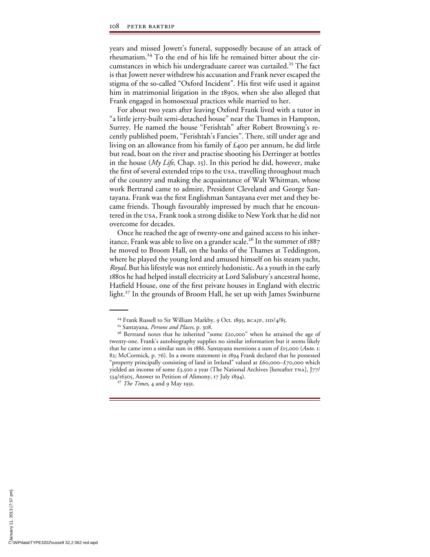years and missed Jowett's funeral, supposedly because of an attack of rheumatism.24 To the end of his life he remained bitter about the circumstances in which his undergraduate career was curtailed.<sup>25</sup> The fact is that Jowett never withdrew his accusation and Frank never escaped the stigma of the so-called "Oxford Incident". His first wife used it against him in matrimonial litigation in the 1890s, when she also alleged that Frank engaged in homosexual practices while married to her.

For about two years after leaving Oxford Frank lived with a tutor in "a little jerry-built semi-detached house" near the Thames in Hampton, Surrey. He named the house "Ferishtah" after Robert Browning's recently published poem, "Ferishtah's Fancies". There, still under age and living on an allowance from his family of £400 per annum, he did little but read, boat on the river and practise shooting his Derringer at bottles in the house (*My Life*, Chap. 15). In this period he did, however, make the first of several extended trips to the USA, travelling throughout much of the country and making the acquaintance of Walt Whitman, whose work Bertrand came to admire, President Cleveland and George Santayana. Frank was the first Englishman Santayana ever met and they became friends. Though favourably impressed by much that he encountered in the usa, Frank took a strong dislike to New York that he did not overcome for decades.

Once he reached the age of twenty-one and gained access to his inheritance, Frank was able to live on a grander scale.<sup>26</sup> In the summer of 1887 he moved to Broom Hall, on the banks of the Thames at Teddington, where he played the young lord and amused himself on his steam yacht, *Royal*. But his lifestyle was not entirely hedonistic. As a youth in the early 1880s he had helped install electricity at Lord Salisbury's ancestral home, Hatfield House, one of the first private houses in England with electric light.27 In the grounds of Broom Hall, he set up with James Swinburne

<sup>&</sup>lt;sup>24</sup> Frank Russell to Sir William Markby, 9 Oct. 1893, bcajp, iid/4/85.<br><sup>25</sup> Santayana, *Persons and Places*, p. 308.<br><sup>26</sup> Bertrand notes that he inherited "some £20,000" when he attained the age of twenty-one. Frank's autobiography supplies no similar information but it seems likely that he came into a similar sum in 1886. Santayana mentions a sum of £15,000 (*Auto*. 1: 82; McCormick, p. 76). In a sworn statement in 1894 Frank declared that he possessed "property principally consisting of land in Ireland" valued at £60,000–£70,000 which yielded an income of some  $\pounds_{3,500}$  a year (The National Archives [hereafter TNA], [77/ 534/16305, Answer to Petition of Alimony, 17 July 1894). <sup>27</sup> *The Times*, 4 and 9 May 1931.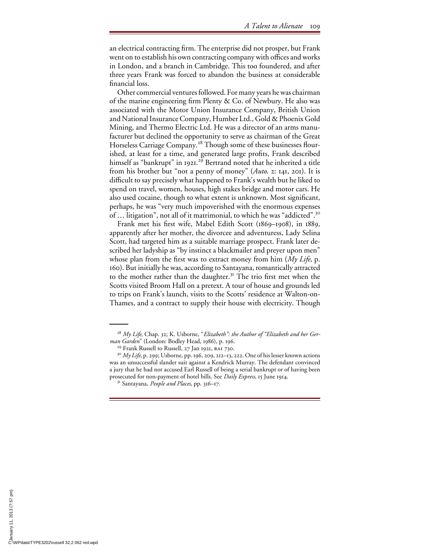an electrical contracting firm. The enterprise did not prosper, but Frank went on to establish his own contracting company with offices and works in London, and a branch in Cambridge. This too foundered, and after three years Frank was forced to abandon the business at considerable financial loss.

Other commercial ventures followed. For many years he was chairman of the marine engineering firm Plenty & Co. of Newbury. He also was associated with the Motor Union Insurance Company, British Union and National Insurance Company, Humber Ltd., Gold & Phoenix Gold Mining, and Thermo Electric Ltd. He was a director of an arms manufacturer but declined the opportunity to serve as chairman of the Great Horseless Carriage Company.<sup>28</sup> Though some of these businesses flourished, at least for a time, and generated large profits, Frank described himself as "bankrupt" in 1921.<sup>29</sup> Bertrand noted that he inherited a title from his brother but "not a penny of money" (*Auto*. 2: 141, 201). It is difficult to say precisely what happened to Frank's wealth but he liked to spend on travel, women, houses, high stakes bridge and motor cars. He also used cocaine, though to what extent is unknown. Most significant, perhaps, he was "very much impoverished with the enormous expenses of … litigation", not all of it matrimonial, to which he was "addicted".<sup>30</sup>

Frank met his first wife, Mabel Edith Scott (1869–1908), in 1889, apparently after her mother, the divorcee and adventuress, Lady Selina Scott, had targeted him as a suitable marriage prospect. Frank later described her ladyship as "by instinct a blackmailer and preyer upon men" whose plan from the first was to extract money from him  $(My \text{ Life}, p$ . 160). But initially he was, according to Santayana, romantically attracted to the mother rather than the daughter.<sup>31</sup> The trio first met when the Scotts visited Broom Hall on a pretext. A tour of house and grounds led to trips on Frank's launch, visits to the Scotts' residence at Walton-on-Thames, and a contract to supply their house with electricity. Though

<sup>&</sup>lt;sup>28</sup> My Life, Chap. 32; K. Usborne, "Elizabeth": the Author of "Elizabeth and her Ger*man Garden*" (London: Bodley Head, 1986), p. 196.<br><sup>29</sup> Frank Russell to Russell, 27 Jan 1921, RA1 730.<br><sup>30</sup> *My Life*, p. 299; Usborne, pp. 196, 209, 212–13, 222. One of his lesser known actions

was an unsuccessful slander suit against a Kendrick Murray. The defendant convinced a jury that he had not accused Earl Russell of being a serial bankrupt or of having been prosecuted for non-payment of hotel bills. See *Daily Express*, 15 June 1914. 31 Santayana, *People and Places*, pp. 316–17.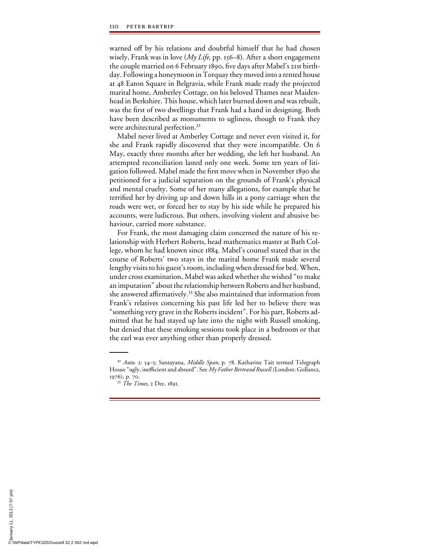warned off by his relations and doubtful himself that he had chosen wisely, Frank was in love (*My Life*, pp. 156–8). After a short engagement the couple married on 6 February 1890, five days after Mabel's 21st birthday. Following a honeymoon in Torquay they moved into a rented house at 48 Eaton Square in Belgravia, while Frank made ready the projected marital home, Amberley Cottage, on his beloved Thames near Maidenhead in Berkshire. This house, which later burned down and was rebuilt, was the first of two dwellings that Frank had a hand in designing. Both have been described as monuments to ugliness, though to Frank they were architectural perfection.<sup>32</sup>

Mabel never lived at Amberley Cottage and never even visited it, for she and Frank rapidly discovered that they were incompatible. On 6 May, exactly three months after her wedding, she left her husband. An attempted reconciliation lasted only one week. Some ten years of litigation followed. Mabel made the first move when in November 1890 she petitioned for a judicial separation on the grounds of Frank's physical and mental cruelty. Some of her many allegations, for example that he terrified her by driving up and down hills in a pony carriage when the roads were wet, or forced her to stay by his side while he prepared his accounts, were ludicrous. But others, involving violent and abusive behaviour, carried more substance.

For Frank, the most damaging claim concerned the nature of his relationship with Herbert Roberts, head mathematics master at Bath College, whom he had known since 1884. Mabel's counsel stated that in the course of Roberts' two stays in the marital home Frank made several lengthy visits to his guest's room, including when dressed for bed. When, under cross examination, Mabel was asked whether she wished "to make an imputation" about the relationship between Roberts and her husband, she answered affirmatively.<sup>33</sup> She also maintained that information from Frank's relatives concerning his past life led her to believe there was "something very grave in the Roberts incident". For his part, Roberts admitted that he had stayed up late into the night with Russell smoking, but denied that these smoking sessions took place in a bedroom or that the earl was ever anything other than properly dressed.

<sup>32</sup> *Auto*. 2: 54–5; Santayana, *Middle Span*, p. 78. Katharine Tait termed Telegraph House "ugly, inefficient and absurd". See *My Father Bertrand Russell* (London: Gollancz, 1976), p. 70. <sup>33</sup> *The Times*, 2 Dec. 1891.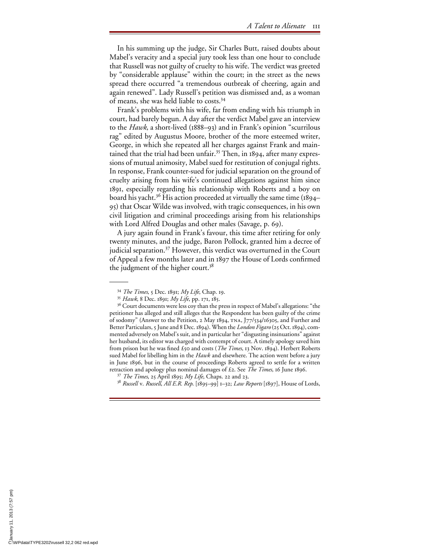In his summing up the judge, Sir Charles Butt, raised doubts about Mabel's veracity and a special jury took less than one hour to conclude that Russell was not guilty of cruelty to his wife. The verdict was greeted by "considerable applause" within the court; in the street as the news spread there occurred "a tremendous outbreak of cheering, again and again renewed". Lady Russell's petition was dismissed and, as a woman of means, she was held liable to costs.34

Frank's problems with his wife, far from ending with his triumph in court, had barely begun. A day after the verdict Mabel gave an interview to the *Hawk*, a short-lived (1888–93) and in Frank's opinion "scurrilous rag" edited by Augustus Moore, brother of the more esteemed writer, George, in which she repeated all her charges against Frank and maintained that the trial had been unfair.<sup>35</sup> Then, in 1894, after many expressions of mutual animosity, Mabel sued for restitution of conjugal rights. In response, Frank counter-sued for judicial separation on the ground of cruelty arising from his wife's continued allegations against him since 1891, especially regarding his relationship with Roberts and a boy on board his yacht.<sup>36</sup> His action proceeded at virtually the same time (1894– 95) that Oscar Wilde was involved, with tragic consequences, in his own civil litigation and criminal proceedings arising from his relationships with Lord Alfred Douglas and other males (Savage, p. 69).

A jury again found in Frank's favour, this time after retiring for only twenty minutes, and the judge, Baron Pollock, granted him a decree of judicial separation.<sup>37</sup> However, this verdict was overturned in the Court of Appeal a few months later and in 1897 the House of Lords confirmed the judgment of the higher court.<sup>38</sup>

<sup>34</sup> *The Times*, 5 Dec. 1891; *My Life*, Chap. 19. 35 *Hawk*, 8 Dec. 1891; *My Life*, pp. 171, 185.

<sup>&</sup>lt;sup>36</sup> Court documents were less coy than the press in respect of Mabel's allegations: "the petitioner has alleged and still alleges that the Respondent has been guilty of the crime of sodomy" (Answer to the Petition, 2 May 1894, tna, J77/534/16305, and Further and Better Particulars, 5 June and 8 Dec. 1894). When the *London Figaro* (25 Oct. 1894), commented adversely on Mabel's suit, and in particular her "disgusting insinuations" against her husband, its editor was charged with contempt of court. A timely apology saved him from prison but he was fined £50 and costs (*The Times*, 13 Nov. 1894). Herbert Roberts sued Mabel for libelling him in the *Hawk* and elsewhere. The action went before a jury in June 1896, but in the course of proceedings Roberts agreed to settle for a written retraction and apology plus nominal damages of £2. See *The Times*, 16 June 1896. 37 *The Times*, 25 April 1895; *My Life*, Chaps. 22 and 23.

<sup>38</sup> *Russell* v. *Russell*, *All E.R. Rep*. [1895–99] 1–32; *Law Reports* [1897], House of Lords,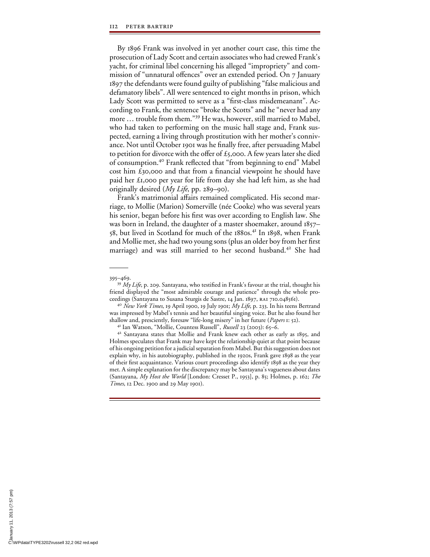By 1896 Frank was involved in yet another court case, this time the prosecution of Lady Scott and certain associates who had crewed Frank's yacht, for criminal libel concerning his alleged "impropriety" and commission of "unnatural offences" over an extended period. On 7 January 1897 the defendants were found guilty of publishing "false malicious and defamatory libels". All were sentenced to eight months in prison, which Lady Scott was permitted to serve as a "first-class misdemeanant". According to Frank, the sentence "broke the Scotts" and he "never had any more … trouble from them."39 He was, however, still married to Mabel, who had taken to performing on the music hall stage and, Frank suspected, earning a living through prostitution with her mother's connivance. Not until October 1901 was he finally free, after persuading Mabel to petition for divorce with the offer of  $\pounds$ 5,000. A few years later she died of consumption.<sup>40</sup> Frank reflected that "from beginning to end" Mabel cost him  $\mathfrak{t}_{30,000}$  and that from a financial viewpoint he should have paid her £1,000 per year for life from day she had left him, as she had originally desired (*My Life*, pp. 289–90).

Frank's matrimonial affairs remained complicated. His second marriage, to Mollie (Marion) Somerville (née Cooke) who was several years his senior, began before his first was over according to English law. She was born in Ireland, the daughter of a master shoemaker, around 1857– 58, but lived in Scotland for much of the 1880s.<sup>41</sup> In 1898, when Frank and Mollie met, she had two young sons (plus an older boy from her first marriage) and was still married to her second husband.42 She had

<sup>395–469.&</sup>lt;br><sup>39</sup> *My Life*, p. 209. Santayana, who testified in Frank's favour at the trial, thought his friend displayed the "most admirable courage and patience" through the whole proceedings (Santayana to Susana Sturgis de Sastre, 14 Jan. 1897, ra1 710.048561). <sup>40</sup> *New York Times*, 19 April 1900, 19 July 1901; *My Life*, p. 233. In his teens Bertrand

was impressed by Mabel's tennis and her beautiful singing voice. But he also found her shallow and, presciently, foresaw "life-long misery" in her future (*Papers* 1: 52).

<sup>&</sup>lt;sup>41</sup> Ian Watson, "Mollie, Countess Russell", *Russell* 23 (2003): 65–6.<br><sup>42</sup> Santayana states that Mollie and Frank knew each other as early as 1895, and

Holmes speculates that Frank may have kept the relationship quiet at that point because of his ongoing petition for a judicial separation from Mabel. But this suggestion does not explain why, in his autobiography, published in the 1920s, Frank gave 1898 as the year of their first acquaintance. Various court proceedings also identify 1898 as the year they met. A simple explanation for the discrepancy may be Santayana's vagueness about dates (Santayana, *My Host the World* [London: Cresset P., 1953], p. 85; Holmes, p. 162; *The Times*, 12 Dec. 1900 and 29 May 1901).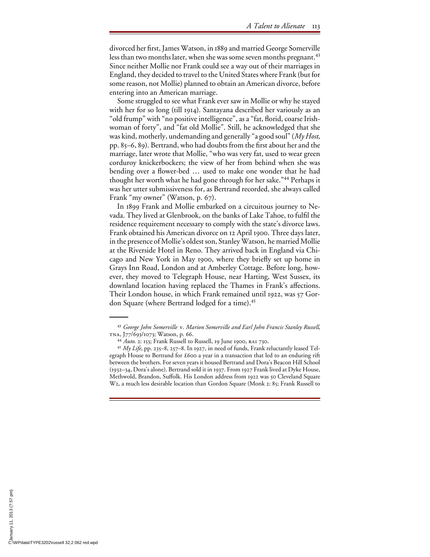divorced her first, James Watson, in 1889 and married George Somerville less than two months later, when she was some seven months pregnant.<sup>43</sup> Since neither Mollie nor Frank could see a way out of their marriages in England, they decided to travel to the United States where Frank (but for some reason, not Mollie) planned to obtain an American divorce, before entering into an American marriage.

Some struggled to see what Frank ever saw in Mollie or why he stayed with her for so long (till 1914). Santayana described her variously as an "old frump" with "no positive intelligence", as a "fat, florid, coarse Irishwoman of forty", and "fat old Mollie". Still, he acknowledged that she was kind, motherly, undemanding and generally "a good soul" (*My Host*, pp. 85–6, 89). Bertrand, who had doubts from the first about her and the marriage, later wrote that Mollie, "who was very fat, used to wear green corduroy knickerbockers; the view of her from behind when she was bending over a flower-bed ... used to make one wonder that he had thought her worth what he had gone through for her sake."44 Perhaps it was her utter submissiveness for, as Bertrand recorded, she always called Frank "my owner" (Watson, p. 67).

In 1899 Frank and Mollie embarked on a circuitous journey to Nevada. They lived at Glenbrook, on the banks of Lake Tahoe, to fulfil the residence requirement necessary to comply with the state's divorce laws. Frank obtained his American divorce on 12 April 1900. Three days later, in the presence of Mollie's oldest son, Stanley Watson, he married Mollie at the Riverside Hotel in Reno. They arrived back in England via Chicago and New York in May 1900, where they briefly set up home in Grays Inn Road, London and at Amberley Cottage. Before long, however, they moved to Telegraph House, near Harting, West Sussex, its downland location having replaced the Thames in Frank's affections. Their London house, in which Frank remained until 1922, was 57 Gordon Square (where Bertrand lodged for a time).<sup>45</sup>

<sup>&</sup>lt;sup>43</sup> George John Somerville v. Marion Somerville and Earl John Francis Stanley Russell, TNA, J77/693/1073; Watson, p. 66.<br><sup>44</sup> *Auto.* 2: 153; Frank Russell to Russell, 19 June 1900, RAI 730.

<sup>&</sup>lt;sup>45</sup> *My Life*, pp. 235–8, 257–8. In 1927, in need of funds, Frank reluctantly leased Telegraph House to Bertrand for £600 a year in a transaction that led to an enduring rift between the brothers. For seven years it housed Bertrand and Dora's Beacon Hill School (1932–34, Dora's alone). Bertrand sold it in 1937. From 1927 Frank lived at Dyke House, Methwold, Brandon, SuTolk. His London address from 1922 was 50 Cleveland Square W2, a much less desirable location than Gordon Square (Monk 2: 85; Frank Russell to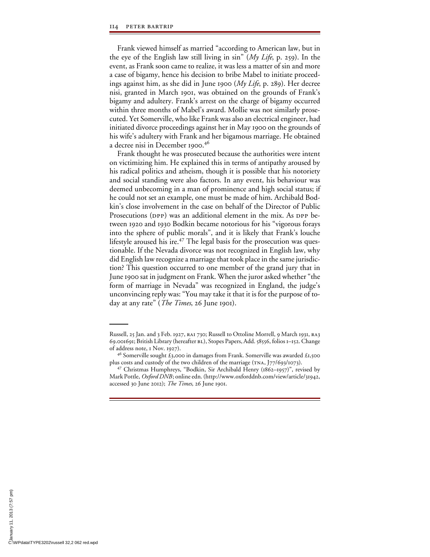Frank viewed himself as married "according to American law, but in the eye of the English law still living in sin" (*My Life*, p. 259). In the event, as Frank soon came to realize, it was less a matter of sin and more a case of bigamy, hence his decision to bribe Mabel to initiate proceedings against him, as she did in June 1900 (*My Life*, p. 289). Her decree nisi, granted in March 1901, was obtained on the grounds of Frank's bigamy and adultery. Frank's arrest on the charge of bigamy occurred within three months of Mabel's award. Mollie was not similarly prosecuted. Yet Somerville, who like Frank was also an electrical engineer, had initiated divorce proceedings against her in May 1900 on the grounds of his wife's adultery with Frank and her bigamous marriage. He obtained a decree nisi in December 1900.46

Frank thought he was prosecuted because the authorities were intent on victimizing him. He explained this in terms of antipathy aroused by his radical politics and atheism, though it is possible that his notoriety and social standing were also factors. In any event, his behaviour was deemed unbecoming in a man of prominence and high social status; if he could not set an example, one must be made of him. Archibald Bodkin's close involvement in the case on behalf of the Director of Public Prosecutions (DPP) was an additional element in the mix. As DPP between 1920 and 1930 Bodkin became notorious for his "vigorous forays into the sphere of public morals", and it is likely that Frank's louche lifestyle aroused his ire.<sup>47</sup> The legal basis for the prosecution was questionable. If the Nevada divorce was not recognized in English law, why did English law recognize a marriage that took place in the same jurisdiction? This question occurred to one member of the grand jury that in June 1900 sat in judgment on Frank. When the juror asked whether "the form of marriage in Nevada" was recognized in England, the judge's unconvincing reply was: "You may take it that it is for the purpose of today at any rate" (*The Times*, 26 June 1901).

Russell, 25 Jan. and 3 Feb. 1927, RAI 730; Russell to Ottoline Morrell, 9 March 1931, RA3 69.001691; British Library (hereafter BL), Stopes Papers, Add. 58556, folios 1–152. Change of address note, 1 Nov. 1927).

<sup>&</sup>lt;sup>46</sup> Somerville sought £3,000 in damages from Frank. Somerville was awarded £1,500 plus costs and custody of the two children of the marriage (tna, J77/693/1073). 47 Christmas Humphreys, "Bodkin, Sir Archibald Henry (1862–1957)", revised by

Mark Pottle, *Oxford DNB*; online edn. (http://www.oxforddnb.com/view/article/31942, accessed 30 June 2012); *The Times*, 26 June 1901.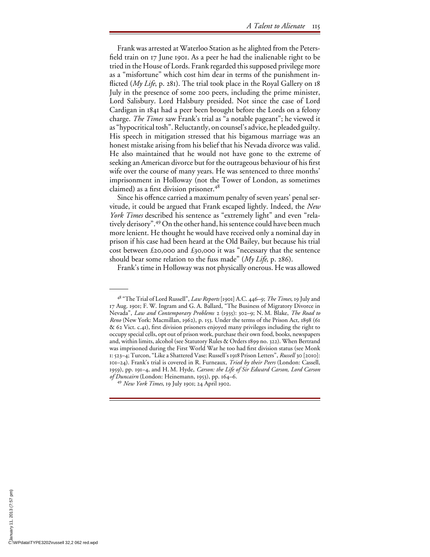Frank was arrested at Waterloo Station as he alighted from the Petersfield train on 17 June 1901. As a peer he had the inalienable right to be tried in the House of Lords. Frank regarded this supposed privilege more as a "misfortune" which cost him dear in terms of the punishment inflicted (*My Life*, p. 281). The trial took place in the Royal Gallery on 18 July in the presence of some 200 peers, including the prime minister, Lord Salisbury. Lord Halsbury presided. Not since the case of Lord Cardigan in 1841 had a peer been brought before the Lords on a felony charge. *The Times* saw Frank's trial as "a notable pageant"; he viewed it as "hypocritical tosh". Reluctantly, on counsel's advice, he pleaded guilty. His speech in mitigation stressed that his bigamous marriage was an honest mistake arising from his belief that his Nevada divorce was valid. He also maintained that he would not have gone to the extreme of seeking an American divorce but for the outrageous behaviour of his first wife over the course of many years. He was sentenced to three months' imprisonment in Holloway (not the Tower of London, as sometimes claimed) as a first division prisoner. $48$ 

Since his offence carried a maximum penalty of seven years' penal servitude, it could be argued that Frank escaped lightly. Indeed, the *New York Times* described his sentence as "extremely light" and even "relatively derisory".49 On the other hand, his sentence could have been much more lenient. He thought he would have received only a nominal day in prison if his case had been heard at the Old Bailey, but because his trial cost between £20,000 and £30,000 it was "necessary that the sentence should bear some relation to the fuss made" (*My Life*, p. 286).

Frank's time in Holloway was not physically onerous. He was allowed

<sup>48 &</sup>quot;The Trial of Lord Russell", *Law Reports* [1901] A.C. 446–9; *The Times*, 19 July and 17 Aug. 1901; F. W. Ingram and G. A. Ballard, "The Business of Migratory Divorce in Nevada", *Law and Contemporary Problems* 2 (1935): 302–9; N. M. Blake, *The Road to Reno* (New York: Macmillan, 1962), p. 153. Under the terms of the Prison Act, 1898 (61  $\&$  62 Vict. c.41), first division prisoners enjoyed many privileges including the right to occupy special cells, opt out of prison work, purchase their own food, books, newspapers and, within limits, alcohol (see Statutory Rules & Orders 1899 no. 322). When Bertrand was imprisoned during the First World War he too had first division status (see Monk 1: 523–4; Turcon, "Like a Shattered Vase: Russell's 1918 Prison Letters", *Russell* 30 [2010]: 101–24). Frank's trial is covered in R. Furneaux, *Tried by their Peers* (London: Cassell, 1959), pp. 191–4, and H. M. Hyde, *Carson: the Life of Sir Edward Carson, Lord Carson of Duncairn* (London: Heinemann, 1953), pp. 164–6. <sup>49</sup> *New York Times*, 19 July 1901; 24 April 1902.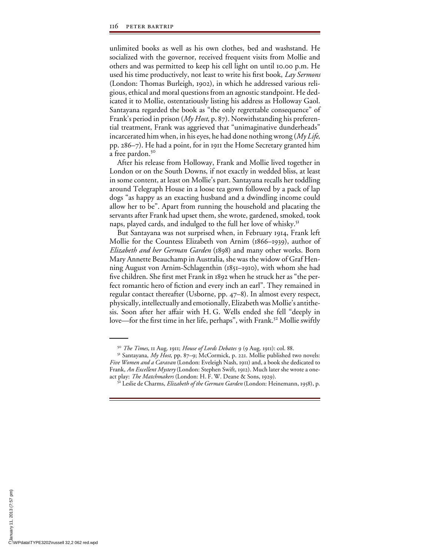unlimited books as well as his own clothes, bed and washstand. He socialized with the governor, received frequent visits from Mollie and others and was permitted to keep his cell light on until 10.00 p.m. He used his time productively, not least to write his first book, *Lay Sermons* (London: Thomas Burleigh, 1902), in which he addressed various religious, ethical and moral questions from an agnostic standpoint. He dedicated it to Mollie, ostentatiously listing his address as Holloway Gaol. Santayana regarded the book as "the only regrettable consequence" of Frank's period in prison (*My Host*, p. 87). Notwithstanding his preferential treatment, Frank was aggrieved that "unimaginative dunderheads" incarcerated him when, in his eyes, he had done nothing wrong (*My Life*, pp. 286–7). He had a point, for in 1911 the Home Secretary granted him a free pardon.<sup>50</sup>

After his release from Holloway, Frank and Mollie lived together in London or on the South Downs, if not exactly in wedded bliss, at least in some content, at least on Mollie's part. Santayana recalls her toddling around Telegraph House in a loose tea gown followed by a pack of lap dogs "as happy as an exacting husband and a dwindling income could allow her to be". Apart from running the household and placating the servants after Frank had upset them, she wrote, gardened, smoked, took naps, played cards, and indulged to the full her love of whisky.<sup>51</sup>

But Santayana was not surprised when, in February 1914, Frank left Mollie for the Countess Elizabeth von Arnim (1866–1939), author of *Elizabeth and her German Garden* (1898) and many other works. Born Mary Annette Beauchamp in Australia, she was the widow of Graf Henning August von Arnim-Schlagenthin (1851–1910), with whom she had five children. She first met Frank in 1892 when he struck her as "the perfect romantic hero of fiction and every inch an earl". They remained in regular contact thereafter (Usborne, pp. 47–8). In almost every respect, physically, intellectually and emotionally, Elizabeth was Mollie's antithesis. Soon after her affair with H. G. Wells ended she fell "deeply in love—for the first time in her life, perhaps", with Frank.<sup>52</sup> Mollie swiftly

<sup>&</sup>lt;sup>50</sup> *The Times*, 11 Aug. 1911; *House of Lords Debates* 9 (9 Aug. 1911): col. 88.<br><sup>51</sup> Santayana, *My Host*, pp. 87–9; McCormick, p. 221. Mollie published two novels: *Five Women and a Caravan* (London: Eveleigh Nash, 1911) and, a book she dedicated to Frank, *An Excellent Mystery* (London: Stephen Swift, 1912). Much later she wrote a oneact play: *The Matchmakers* (London: H. F. W. Deane & Sons, 1929). 52 Leslie de Charms, *Elizabeth of the German Garden* (London: Heinemann, 1958), p.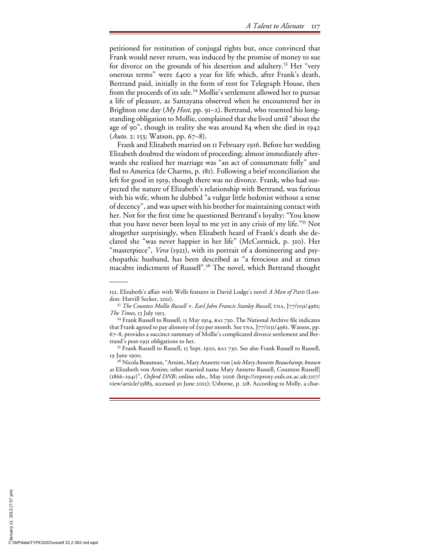petitioned for restitution of conjugal rights but, once convinced that Frank would never return, was induced by the promise of money to sue for divorce on the grounds of his desertion and adultery.<sup>53</sup> Her "very onerous terms" were £400 a year for life which, after Frank's death, Bertrand paid, initially in the form of rent for Telegraph House, then from the proceeds of its sale.<sup>54</sup> Mollie's settlement allowed her to pursue a life of pleasure, as Santayana observed when he encountered her in Brighton one day (*My Host*, pp. 91–2). Bertrand, who resented his longstanding obligation to Mollie, complained that she lived until "about the age of 90", though in reality she was around 84 when she died in 1942 (*Auto*. 2: 153; Watson, pp. 67–8).

Frank and Elizabeth married on 11 February 1916. Before her wedding Elizabeth doubted the wisdom of proceeding; almost immediately afterwards she realized her marriage was "an act of consummate folly" and fled to America (de Charms, p. 181). Following a brief reconciliation she left for good in 1919, though there was no divorce. Frank, who had suspected the nature of Elizabeth's relationship with Bertrand, was furious with his wife, whom he dubbed "a vulgar little hedonist without a sense of decency", and was upset with his brother for maintaining contact with her. Not for the first time he questioned Bertrand's loyalty: "You know that you have never been loyal to me yet in any crisis of my life."55 Not altogether surprisingly, when Elizabeth heard of Frank's death she declared she "was never happier in her life" (McCormick, p. 310). Her "masterpiece", *Vera* (1921), with its portrait of a domineering and psychopathic husband, has been described as "a ferocious and at times macabre indictment of Russell".<sup>56</sup> The novel, which Bertrand thought

<sup>152.</sup> Elizabeth's aTair with Wells features in David Lodge's novel *A Man of Parts* (London: Harvill Secker, 2011).<br><sup>53</sup> *The Countess Mollie Russell* v. *Earl John Francis Stanley Russell*, TNA, J77/1151/4961;

*The Times*, 13 July 1915.<br><sup>54</sup> Frank Russell to Russell, 15 May 1914, RA1 730. The National Archive file indicates that Frank agreed to pay alimony of  $\hat{t}$ 50 per month. See TNA, J77/1151/4961. Watson, pp. 67–8, provides a succinct summary of Mollie's complicated divorce settlement and Bertrand's post-1931 obligations to her. 55 Frank Russell to Russell, 15 Sept. 1920, ra1 730. See also Frank Russell to Russell,

<sup>19</sup> June 1900.

<sup>56</sup> Nicola Beauman, "Arnim, Mary Annette von [*née Mary Annette Beauchamp; known as* Elizabeth von Arnim; other married name Mary Annette Russell, Countess Russell] (1866–1941)", *Oxford DNB*; online edn., May 2006 (http://ezproxy.ouls.ox.ac.uk:2117/ view/article/35883, accessed 30 June 2012); Usborne, p. 218. According to Molly, a char-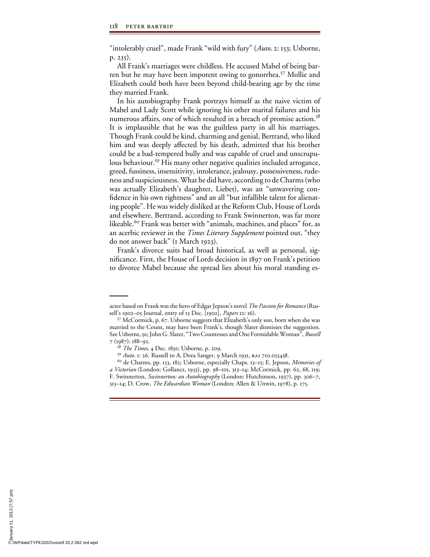"intolerably cruel", made Frank "wild with fury" (*Auto*. 2: 153; Usborne, p. 235).

All Frank's marriages were childless. He accused Mabel of being barren but he may have been impotent owing to gonorrhea.57 Mollie and Elizabeth could both have been beyond child-bearing age by the time they married Frank.

In his autobiography Frank portrays himself as the naive victim of Mabel and Lady Scott while ignoring his other marital failures and his numerous affairs, one of which resulted in a breach of promise action.<sup>58</sup> It is implausible that he was the guiltless party in all his marriages. Though Frank could be kind, charming and genial, Bertrand, who liked him and was deeply affected by his death, admitted that his brother could be a bad-tempered bully and was capable of cruel and unscrupulous behaviour.<sup>59</sup> His many other negative qualities included arrogance, greed, fussiness, insensitivity, intolerance, jealousy, possessiveness, rudeness and suspiciousness. What he did have, according to de Charms (who was actually Elizabeth's daughter, Liebet), was an "unwavering confidence in his own rightness" and an all "but infallible talent for alienating people". He was widely disliked at the Reform Club, House of Lords and elsewhere. Bertrand, according to Frank Swinnerton, was far more likeable.<sup>60</sup> Frank was better with "animals, machines, and places" for, as an acerbic reviewer in the *Times Literary Supplement* pointed out, "they do not answer back" (1 March 1923).

Frank's divorce suits had broad historical, as well as personal, significance. First, the House of Lords decision in 1897 on Frank's petition to divorce Mabel because she spread lies about his moral standing es-

acter based on Frank was the hero of Edgar Jepson's novel *The Passion for Romance* (Russell's 1902–05 Journal, entry of 13 Dec. [1902], *Papers* 12: 16). 57 McCormick, p. 67. Usborne suggests that Elizabeth's only son, born when she was

married to the Count, may have been Frank's, though Slater dismisses the suggestion. See Usborne, 91; John G. Slater, "Two Countesses and One Formidable Woman", *Russell* 7 (1987): 188–92.<br><sup>58</sup> *The Times*, 4 Dec. 1891; Usborne, p. 209.

<sup>&</sup>lt;sup>59</sup> *Auto*. 1: 26. Russell to A. Dora Sanger, 9 March 1931, RA1 710.055438.<br><sup>60</sup> de Charms, pp. 153, 182; Usborne, especially Chaps. 13–15; E. Jepson, *Memories of* 

*a Victorian* (London: Gollancz, 1933), pp. 98–101, 313–14; McCormick, pp. 62, 68, 119; F. Swinnerton, *Swinnerton: an Autobiography* (London: Hutchinson, 1937), pp. 306–7, 313–14; D. Crow, *The Edwardian Woman* (London: Allen & Unwin, 1978), p. 175.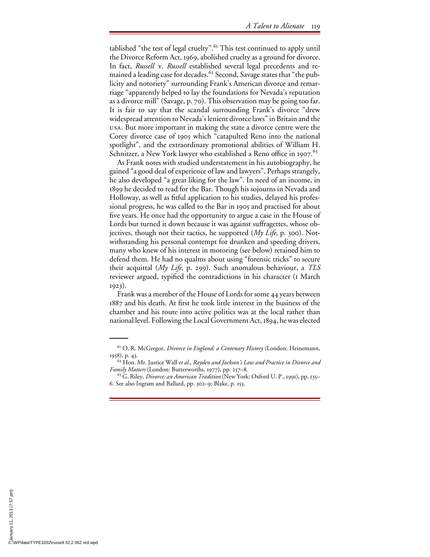tablished "the test of legal cruelty".<sup>61</sup> This test continued to apply until the Divorce Reform Act, 1969, abolished cruelty as a ground for divorce. In fact, *Russell* v. *Russell* established several legal precedents and remained a leading case for decades.<sup>62</sup> Second, Savage states that "the publicity and notoriety" surrounding Frank's American divorce and remarriage "apparently helped to lay the foundations for Nevada's reputation as a divorce mill" (Savage, p. 70). This observation may be going too far. It is fair to say that the scandal surrounding Frank's divorce "drew widespread attention to Nevada's lenient divorce laws" in Britain and the usa. But more important in making the state a divorce centre were the Corey divorce case of 1905 which "catapulted Reno into the national spotlight", and the extraordinary promotional abilities of William H. Schnitzer, a New York lawyer who established a Reno office in 1907.  $63$ 

As Frank notes with studied understatement in his autobiography, he gained "a good deal of experience of law and lawyers". Perhaps strangely, he also developed "a great liking for the law". In need of an income, in 1899 he decided to read for the Bar. Though his sojourns in Nevada and Holloway, as well as fitful application to his studies, delayed his professional progress, he was called to the Bar in 1905 and practised for about five years. He once had the opportunity to argue a case in the House of Lords but turned it down because it was against suffragettes, whose objectives, though not their tactics, he supported (*My Life*, p. 300). Notwithstanding his personal contempt for drunken and speeding drivers, many who knew of his interest in motoring (see below) retained him to defend them. He had no qualms about using "forensic tricks" to secure their acquittal (*My Life*, p. 299). Such anomalous behaviour, a *TLS* reviewer argued, typified the contradictions in his character (1 March 1923).

Frank was a member of the House of Lords for some 44 years between 1887 and his death. At first he took little interest in the business of the chamber and his route into active politics was at the local rather than national level. Following the Local Government Act, 1894, he was elected

<sup>61</sup> O. R. McGregor, *Divorce in England: a Centenary History* (London: Heinemann, 1958), p. 43. 62 Hon. Mr. Justice Wall *et al.*, *Rayden and Jackson's Law and Practice in Divorce and*

*Family Matters* (London: Butterworths, 1977), pp. 257–8.

<sup>63</sup> G. Riley, *Divorce: an American Tradition* (New York: Oxford U. P., 1991), pp. 135– 6. See also Ingram and Ballard, pp. 302–9; Blake, p. 153.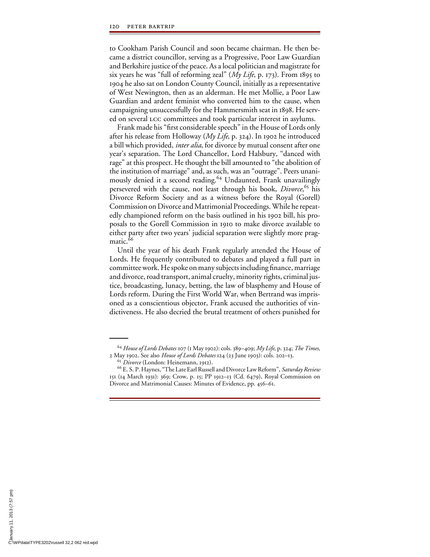to Cookham Parish Council and soon became chairman. He then became a district councillor, serving as a Progressive, Poor Law Guardian and Berkshire justice of the peace. As a local politician and magistrate for six years he was "full of reforming zeal" (*My Life*, p. 173). From 1895 to 1904 he also sat on London County Council, initially as a representative of West Newington, then as an alderman. He met Mollie, a Poor Law Guardian and ardent feminist who converted him to the cause, when campaigning unsuccessfully for the Hammersmith seat in 1898. He served on several LCC committees and took particular interest in asylums.

Frank made his "first considerable speech" in the House of Lords only after his release from Holloway (*My Life*, p. 324). In 1902 he introduced a bill which provided, *inter alia*, for divorce by mutual consent after one year's separation. The Lord Chancellor, Lord Halsbury, "danced with rage" at this prospect. He thought the bill amounted to "the abolition of the institution of marriage" and, as such, was an "outrage". Peers unanimously denied it a second reading.<sup>64</sup> Undaunted, Frank unavailingly persevered with the cause, not least through his book, *Divorce*, 65 his Divorce Reform Society and as a witness before the Royal (Gorell) Commission on Divorce and Matrimonial Proceedings. While he repeatedly championed reform on the basis outlined in his 1902 bill, his proposals to the Gorell Commission in 1910 to make divorce available to either party after two years' judicial separation were slightly more pragmatic.<sup>66</sup>

Until the year of his death Frank regularly attended the House of Lords. He frequently contributed to debates and played a full part in committee work. He spoke on many subjects including finance, marriage and divorce, road transport, animal cruelty, minority rights, criminal justice, broadcasting, lunacy, betting, the law of blasphemy and House of Lords reform. During the First World War, when Bertrand was imprisoned as a conscientious objector, Frank accused the authorities of vindictiveness. He also decried the brutal treatment of others punished for

<sup>64</sup> *House of Lords Debates* 107 (1 May 1902): cols. 389–409; *My Life*, p. 324; *The Times*, 2 May 1902. See also *House of Lords Debates* 124 (23 June 1903): cols. 202–13.

<sup>&</sup>lt;sup>66</sup> E. S. P. Haynes, "The Late Earl Russell and Divorce Law Reform", *Saturday Review* 151 (14 March 1931): 369; Crow, p. 15; PP 1912–13 (Cd. 6479), Royal Commission on Divorce and Matrimonial Causes: Minutes of Evidence, pp. 456–61.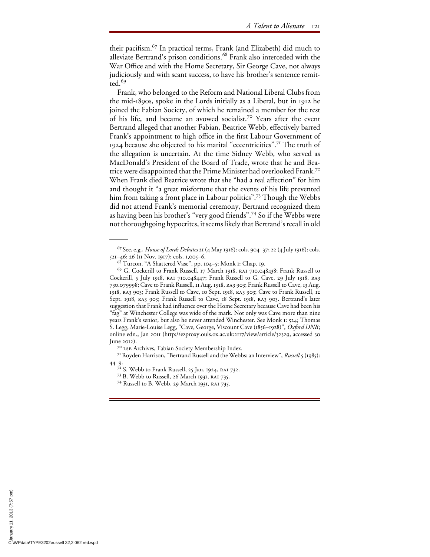their pacifism.<sup>67</sup> In practical terms, Frank (and Elizabeth) did much to alleviate Bertrand's prison conditions.<sup>68</sup> Frank also interceded with the War Office and with the Home Secretary, Sir George Cave, not always judiciously and with scant success, to have his brother's sentence remit- $\int$ red<sup>69</sup>

Frank, who belonged to the Reform and National Liberal Clubs from the mid-1890s, spoke in the Lords initially as a Liberal, but in 1912 he joined the Fabian Society, of which he remained a member for the rest of his life, and became an avowed socialist.<sup>70</sup> Years after the event Bertrand alleged that another Fabian, Beatrice Webb, effectively barred Frank's appointment to high office in the first Labour Government of 1924 because she objected to his marital "eccentricities".71 The truth of the allegation is uncertain. At the time Sidney Webb, who served as MacDonald's President of the Board of Trade, wrote that he and Beatrice were disappointed that the Prime Minister had overlooked Frank.<sup>72</sup> When Frank died Beatrice wrote that she "had a real affection" for him and thought it "a great misfortune that the events of his life prevented him from taking a front place in Labour politics".<sup>73</sup> Though the Webbs did not attend Frank's memorial ceremony, Bertrand recognized them as having been his brother's "very good friends".74 So if the Webbs were not thoroughgoing hypocrites, it seems likely that Bertrand's recall in old

<sup>67</sup> See, e.g., *House of Lords Debates* 21 (4 May 1916): cols. 904–37; 22 (4 July 1916): cols. 521–46; 26 (11 Nov. 1917): cols. 1,005–6. 68 Turcon, "A Shattered Vase", pp. 104–5; Monk 1: Chap. 19.

<sup>&</sup>lt;sup>69</sup> G. Cockerill to Frank Russell, 17 March 1918, RAI 710.048438; Frank Russell to Cockerill, 5 July 1918, RAI 710.048447; Frank Russell to G. Cave, 29 July 1918, RA3 730.079998; Cave to Frank Russell, 11 Aug. 1918, ra3 903; Frank Russell to Cave, 13 Aug. 1918, ra3 903; Frank Russell to Cave, 10 Sept. 1918, ra3 903; Cave to Frank Russell, 12 Sept. 1918, RA3 903; Frank Russell to Cave, 18 Sept. 1918, RA3 903. Bertrand's later suggestion that Frank had influence over the Home Secretary because Cave had been his "fag" at Winchester College was wide of the mark. Not only was Cave more than nine years Frank's senior, but also he never attended Winchester. See Monk 1: 524; Thomas S. Legg, Marie-Louise Legg, "Cave, George, Viscount Cave (1856–1928)", *Oxford DNB*; online edn., Jan 2011 (http://ezproxy.ouls.ox.ac.uk:2117/view/article/32329, accessed 30 June 2012). <sup>70</sup> lse Archives, Fabian Society Membership Index. 71 Royden Harrison, "Bertrand Russell and the Webbs: an Interview", *Russell* 5 (1985):

<sup>44–9.&</sup>lt;br><sup>72</sup> S. Webb to Frank Russell, 25 Jan. 1924, RA1 732.<br><sup>73</sup> B. Webb to Russell, 26 March 1931, RA1 735.<br><sup>74</sup> Russell to B. Webb, 29 March 1931, RA1 735.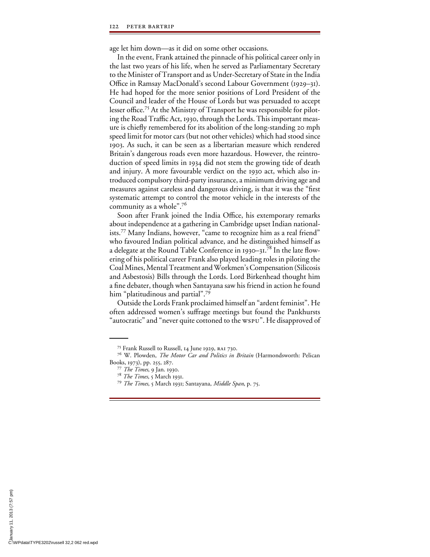age let him down—as it did on some other occasions.

In the event, Frank attained the pinnacle of his political career only in the last two years of his life, when he served as Parliamentary Secretary to the Minister of Transport and as Under-Secretary of State in the India Office in Ramsay MacDonald's second Labour Government (1929–31). He had hoped for the more senior positions of Lord President of the Council and leader of the House of Lords but was persuaded to accept lesser office.<sup>75</sup> At the Ministry of Transport he was responsible for piloting the Road Traffic Act, 1930, through the Lords. This important measure is chiefly remembered for its abolition of the long-standing 20 mph speed limit for motor cars (but not other vehicles) which had stood since 1903. As such, it can be seen as a libertarian measure which rendered Britain's dangerous roads even more hazardous. However, the reintroduction of speed limits in 1934 did not stem the growing tide of death and injury. A more favourable verdict on the 1930 act, which also introduced compulsory third-party insurance, a minimum driving age and measures against careless and dangerous driving, is that it was the "first systematic attempt to control the motor vehicle in the interests of the community as a whole".76

Soon after Frank joined the India Office, his extemporary remarks about independence at a gathering in Cambridge upset Indian nationalists.77 Many Indians, however, "came to recognize him as a real friend" who favoured Indian political advance, and he distinguished himself as a delegate at the Round Table Conference in 1930–31.78 In the late flowering of his political career Frank also played leading roles in piloting the Coal Mines, Mental Treatment and Workmen's Compensation (Silicosis and Asbestosis) Bills through the Lords. Lord Birkenhead thought him a fine debater, though when Santayana saw his friend in action he found him "platitudinous and partial".<sup>79</sup>

Outside the Lords Frank proclaimed himself an "ardent feminist". He often addressed women's suffrage meetings but found the Pankhursts "autocratic" and "never quite cottoned to the wspu". He disapproved of

<sup>75</sup> Frank Russell to Russell, 14 June 1929, ra1 730.

<sup>76</sup> W. Plowden, *The Motor Car and Politics in Britain* (Harmondsworth: Pelican Books, 1973), pp. 255, 287. <sup>77</sup> *The Times*, 9 Jan. 1930.

<sup>78</sup> *The Times*, 5 March 1931. <sup>79</sup> *The Times*, 5 March 1931; Santayana, *Middle Span*, p. 75.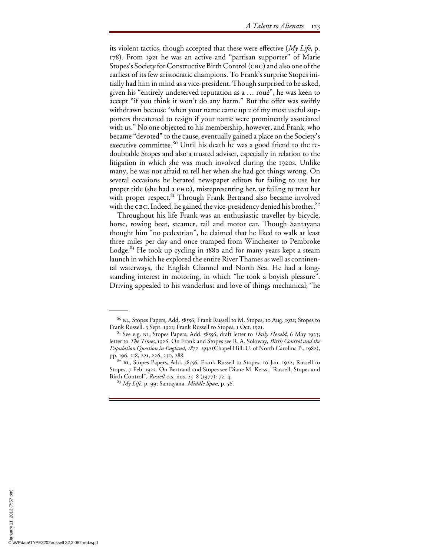its violent tactics, though accepted that these were effective (*My Life*, p. 178). From 1921 he was an active and "partisan supporter" of Marie Stopes's Society for Constructive Birth Control (CBC) and also one of the earliest of its few aristocratic champions. To Frank's surprise Stopes initially had him in mind as a vice-president. Though surprised to be asked, given his "entirely undeserved reputation as a … roué", he was keen to accept "if you think it won't do any harm." But the offer was swiftly withdrawn because "when your name came up 2 of my most useful supporters threatened to resign if your name were prominently associated with us." No one objected to his membership, however, and Frank, who became "devoted" to the cause, eventually gained a place on the Society's executive committee.<sup>80</sup> Until his death he was a good friend to the redoubtable Stopes and also a trusted adviser, especially in relation to the litigation in which she was much involved during the 1920s. Unlike many, he was not afraid to tell her when she had got things wrong. On several occasions he berated newspaper editors for failing to use her proper title (she had a PHD), misrepresenting her, or failing to treat her with proper respect. $81$  Through Frank Bertrand also became involved with the CBC. Indeed, he gained the vice-presidency denied his brother.<sup>82</sup>

Throughout his life Frank was an enthusiastic traveller by bicycle, horse, rowing boat, steamer, rail and motor car. Though Santayana thought him "no pedestrian", he claimed that he liked to walk at least three miles per day and once tramped from Winchester to Pembroke Lodge. $83$  He took up cycling in 1880 and for many years kept a steam launch in which he explored the entire River Thames as well as continental waterways, the English Channel and North Sea. He had a longstanding interest in motoring, in which "he took a boyish pleasure". Driving appealed to his wanderlust and love of things mechanical; "he

<sup>80</sup> bl, Stopes Papers, Add. 58556, Frank Russell to M. Stopes, 10 Aug. 1921; Stopes to Frank Russell. 3 Sept. 1921; Frank Russell to Stopes, 1 Oct. 1921. 81 See e.g. bl, Stopes Papers, Add. 58556, draft letter to *Daily Herald*, 6 May 1923;

letter to *The Times*, 1926. On Frank and Stopes see R. A. Soloway, *Birth Control and the Population Question in England, 1877–1930* (Chapel Hill: U. of North Carolina P., 1982), pp. 196, 218, 221, 226, 230, 288.<br><sup>82</sup> bl., Stopes Papers, Add. 58556, Frank Russell to Stopes, 10 Jan. 1922; Russell to

Stopes, 7 Feb. 1922. On Bertrand and Stopes see Diane M. Kerss, "Russell, Stopes and Birth Control", *Russell* o.s. nos. 25–8 (1977): 72–4.

<sup>83</sup> *My Life*, p. 99; Santayana, *Middle Span*, p. 56.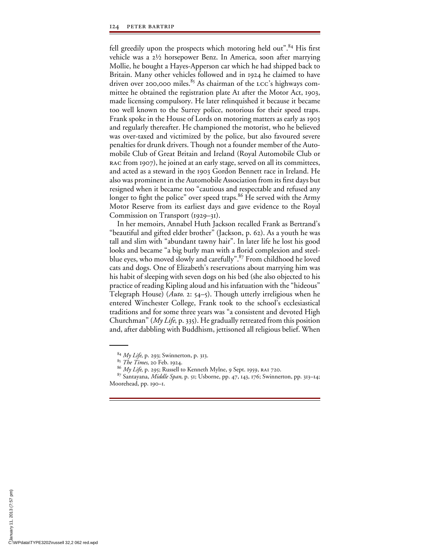fell greedily upon the prospects which motoring held out".<sup>84</sup> His first vehicle was a 2½ horsepower Benz. In America, soon after marrying Mollie, he bought a Hayes-Apperson car which he had shipped back to Britain. Many other vehicles followed and in 1924 he claimed to have driven over 200,000 miles.<sup>85</sup> As chairman of the LCC's highways committee he obtained the registration plate A1 after the Motor Act, 1903, made licensing compulsory. He later relinquished it because it became too well known to the Surrey police, notorious for their speed traps. Frank spoke in the House of Lords on motoring matters as early as 1903 and regularly thereafter. He championed the motorist, who he believed was over-taxed and victimized by the police, but also favoured severe penalties for drunk drivers. Though not a founder member of the Automobile Club of Great Britain and Ireland (Royal Automobile Club or rac from 1907), he joined at an early stage, served on all its committees, and acted as a steward in the 1903 Gordon Bennett race in Ireland. He also was prominent in the Automobile Association from its first days but resigned when it became too "cautious and respectable and refused any longer to fight the police" over speed traps.  $86$  He served with the Army Motor Reserve from its earliest days and gave evidence to the Royal Commission on Transport (1929–31).

In her memoirs, Annabel Huth Jackson recalled Frank as Bertrand's "beautiful and gifted elder brother" (Jackson, p. 62). As a youth he was tall and slim with "abundant tawny hair". In later life he lost his good looks and became "a big burly man with a florid complexion and steelblue eyes, who moved slowly and carefully".<sup>87</sup> From childhood he loved cats and dogs. One of Elizabeth's reservations about marrying him was his habit of sleeping with seven dogs on his bed (she also objected to his practice of reading Kipling aloud and his infatuation with the "hideous" Telegraph House) (*Auto*. 2: 54–5). Though utterly irreligious when he entered Winchester College, Frank took to the school's ecclesiastical traditions and for some three years was "a consistent and devoted High Churchman" (*My Life*, p. 335). He gradually retreated from this position and, after dabbling with Buddhism, jettisoned all religious belief. When

<sup>&</sup>lt;sup>84</sup> *My Life*, p. 293; Swinnerton, p. 313.<br><sup>85</sup> *The Times*, 20 Feb. 1924.

<sup>&</sup>lt;sup>86</sup> *My Life*, p. 295; Russell to Kenneth Mylne, 9 Sept. 1959, RAI 720.

<sup>87</sup> Santayana, *Middle Span*, p. 51; Usborne, pp. 47, 143, 176; Swinnerton, pp. 313–14; Moorehead, pp. 190–1.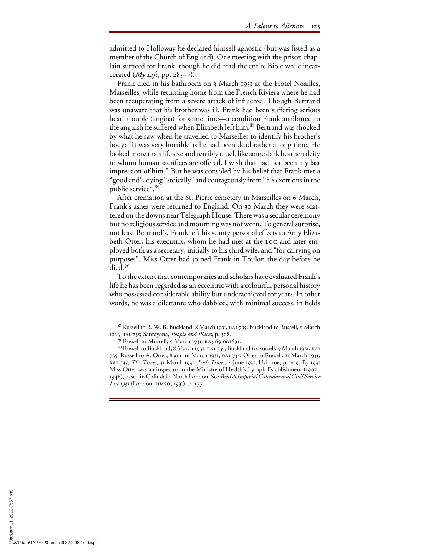admitted to Holloway he declared himself agnostic (but was listed as a member of the Church of England). One meeting with the prison chaplain sufficed for Frank, though he did read the entire Bible while incarcerated  $(My \text{ Life}, pp. 285-7)$ .

Frank died in his bathroom on 3 March 1931 at the Hotel Noailles, Marseilles, while returning home from the French Riviera where he had been recuperating from a severe attack of influenza. Though Bertrand was unaware that his brother was ill, Frank had been suffering serious heart trouble (angina) for some time—a condition Frank attributed to the anguish he suffered when Elizabeth left him.<sup>88</sup> Bertrand was shocked by what he saw when he travelled to Marseilles to identify his brother's body: "It was very horrible as he had been dead rather a long time. He looked more than life size and terribly cruel, like some dark heathen deity to whom human sacrifices are offered. I wish that had not been my last impression of him." But he was consoled by his belief that Frank met a "good end", dying "stoically" and courageously from "his exertions in the public service".<sup>89</sup>

After cremation at the St. Pierre cemetery in Marseilles on 6 March, Frank's ashes were returned to England. On 30 March they were scattered on the downs near Telegraph House. There was a secular ceremony but no religious service and mourning was not worn. To general surprise, not least Bertrand's, Frank left his scanty personal effects to Amy Elizabeth Otter, his executrix, whom he had met at the lcc and later employed both as a secretary, initially to his third wife, and "for carrying on purposes". Miss Otter had joined Frank in Toulon the day before he died<sup>90</sup>

To the extent that contemporaries and scholars have evaluated Frank's life he has been regarded as an eccentric with a colourful personal history who possessed considerable ability but underachieved for years. In other words, he was a dilettante who dabbled, with minimal success, in fields

<sup>88</sup> Russell to R. W. B. Buckland, 8 March 1931, RA1 735; Buckland to Russell, 9 March 1931, ra1 735; Santayana, *People and Places*, p. 308.

 $^{89}$  Russell to Morrell, 9 March 1931, RA3 69.001691.<br><sup>90</sup> Russell to Buckland, 8 March 1931, RA1 735; Buckland to Russell, 9 March 1931, RA1 735; Russell to A. Otter, 8 and 16 March 1931, ra1 735; Otter to Russell, 11 March 1931, ra1 735; *The Times*, 31 March 1931; *Irish Times*, 2 June 1931; Usborne, p. 209. By 1931 Miss Otter was an inspector in the Ministry of Health's Lymph Establishment (1907– 1946), based in Colindale, North London. See *British Imperial Calendar and Civil Service List 1931* (London: hmso, 1931), p. 177.